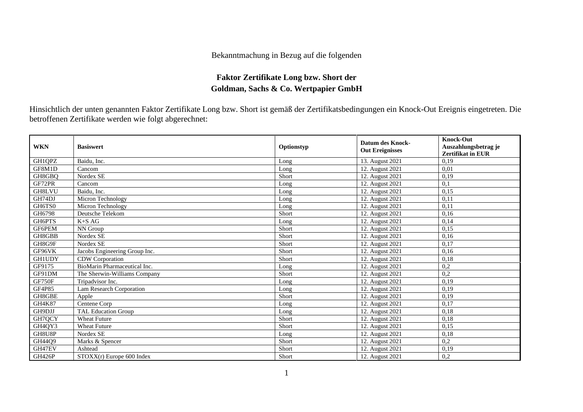## Bekanntmachung in Bezug auf die folgenden

## **Faktor Zertifikate Long bzw. Short der Goldman, Sachs & Co. Wertpapier GmbH**

Hinsichtlich der unten genannten Faktor Zertifikate Long bzw. Short ist gemäß der Zertifikatsbedingungen ein Knock-Out Ereignis eingetreten. Die betroffenen Zertifikate werden wie folgt abgerechnet:

| <b>WKN</b>                      | <b>Basiswert</b>              | Optionstyp | <b>Datum des Knock-</b><br><b>Out Ereignisses</b> | <b>Knock-Out</b><br>Auszahlungsbetrag je<br><b>Zertifikat in EUR</b> |
|---------------------------------|-------------------------------|------------|---------------------------------------------------|----------------------------------------------------------------------|
| GH1QPZ                          | Baidu, Inc.                   | Long       | 13. August 2021                                   | 0.19                                                                 |
| GF8M1D                          | Cancom                        | Long       | 12. August 2021                                   | 0,01                                                                 |
| GH8GBQ                          | Nordex SE                     | Short      | 12. August 2021                                   | 0.19                                                                 |
| GF72PR                          | Cancom                        | Long       | 12. August 2021                                   | 0,1                                                                  |
| GH8LVU                          | Baidu, Inc.                   | Long       | 12. August 2021                                   | 0.15                                                                 |
| GH74DJ                          | Micron Technology             | Long       | 12. August 2021                                   | 0.11                                                                 |
| GH6TS0                          | Micron Technology             | Long       | 12. August 2021                                   | 0,11                                                                 |
| GH6798                          | Deutsche Telekom              | Short      | 12. August 2021                                   | 0.16                                                                 |
| GH6PTS                          | $K+SAG$                       | Long       | 12. August 2021                                   | 0,14                                                                 |
| GF6PEM                          | NN Group                      | Short      | 12. August 2021                                   | 0.15                                                                 |
| GH8GBB                          | Nordex SE                     | Short      | 12. August 2021                                   | 0,16                                                                 |
| GH8G9F                          | Nordex SE                     | Short      | 12. August 2021                                   | 0.17                                                                 |
| GF96VK                          | Jacobs Engineering Group Inc. | Short      | 12. August 2021                                   | 0.16                                                                 |
| <b>GH1UDY</b>                   | CDW Corporation               | Short      | 12. August 2021                                   | 0,18                                                                 |
| GF9175                          | BioMarin Pharmaceutical Inc.  | Long       | 12. August 2021                                   | 0,2                                                                  |
| GF91DM                          | The Sherwin-Williams Company  | Short      | 12. August 2021                                   | 0,2                                                                  |
| GF750F                          | Tripadvisor Inc.              | Long       | 12. August 2021                                   | 0,19                                                                 |
| GF4P85                          | Lam Research Corporation      | Long       | 12. August 2021                                   | 0,19                                                                 |
| GH8GBE                          | Apple                         | Short      | 12. August 2021                                   | 0,19                                                                 |
| GH4K87                          | Centene Corp                  | Long       | 12. August 2021                                   | 0.17                                                                 |
| GH9DJJ                          | <b>TAL Education Group</b>    | Long       | 12. August 2021                                   | 0,18                                                                 |
| GH7QCY                          | <b>Wheat Future</b>           | Short      | 12. August 2021                                   | 0,18                                                                 |
| GH <sub>4</sub> OY <sub>3</sub> | <b>Wheat Future</b>           | Short      | 12. August 2021                                   | 0,15                                                                 |
| GH8U8P                          | Nordex SE                     | Long       | 12. August 2021                                   | 0,18                                                                 |
| GH44Q9                          | Marks & Spencer               | Short      | 12. August 2021                                   | 0,2                                                                  |
| GH47EV                          | Ashtead                       | Short      | 12. August 2021                                   | 0,19                                                                 |
| GH426P                          | STOXX(r) Europe 600 Index     | Short      | 12. August 2021                                   | 0,2                                                                  |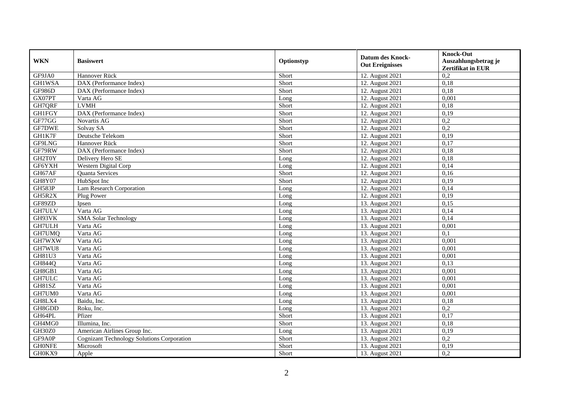| <b>WKN</b>    | <b>Basiswert</b>                                  | Optionstyp | <b>Datum des Knock-</b><br><b>Out Ereignisses</b> | <b>Knock-Out</b><br>Auszahlungsbetrag je<br><b>Zertifikat in EUR</b> |
|---------------|---------------------------------------------------|------------|---------------------------------------------------|----------------------------------------------------------------------|
| GF9JA0        | Hannover Rück                                     | Short      | 12. August 2021                                   | 0,2                                                                  |
| <b>GH1WSA</b> | DAX (Performance Index)                           | Short      | 12. August 2021                                   | 0,18                                                                 |
| GF986D        | DAX (Performance Index)                           | Short      | 12. August 2021                                   | 0,18                                                                 |
| GX07PT        | Varta AG                                          | Long       | 12. August 2021                                   | 0,001                                                                |
| GH7QRF        | <b>LVMH</b>                                       | Short      | 12. August 2021                                   | 0.18                                                                 |
| <b>GH1FGY</b> | DAX (Performance Index)                           | Short      | 12. August 2021                                   | 0,19                                                                 |
| GF77GG        | Novartis AG                                       | Short      | 12. August 2021                                   | 0,2                                                                  |
| GF7DWE        | Solvay SA                                         | Short      | 12. August 2021                                   | 0,2                                                                  |
| GH1K7F        | Deutsche Telekom                                  | Short      | 12. August 2021                                   | 0,19                                                                 |
| GF9LNG        | Hannover Rück                                     | Short      | 12. August 2021                                   | 0,17                                                                 |
| GF79RW        | DAX (Performance Index)                           | Short      | 12. August 2021                                   | 0.18                                                                 |
| GH2T0Y        | Delivery Hero SE                                  | Long       | 12. August 2021                                   | 0,18                                                                 |
| GF6YXH        | <b>Western Digital Corp</b>                       | Long       | 12. August 2021                                   | 0,14                                                                 |
| GH67AF        | <b>Ouanta Services</b>                            | Short      | 12. August 2021                                   | 0,16                                                                 |
| <b>GH8Y07</b> | HubSpot Inc                                       | Short      | 12. August 2021                                   | 0,19                                                                 |
| GH583P        | Lam Research Corporation                          | Long       | 12. August 2021                                   | 0,14                                                                 |
| GH5R2X        | Plug Power                                        | Long       | 12. August 2021                                   | 0,19                                                                 |
| GF89ZD        | Ipsen                                             | Long       | 13. August 2021                                   | 0,15                                                                 |
| GH7ULV        | Varta AG                                          | Long       | 13. August 2021                                   | 0,14                                                                 |
| GH93VK        | <b>SMA Solar Technology</b>                       | Long       | 13. August 2021                                   | 0,14                                                                 |
| <b>GH7ULH</b> | Varta AG                                          | Long       | 13. August 2021                                   | 0,001                                                                |
| GH7UMQ        | Varta AG                                          | Long       | 13. August 2021                                   | 0,1                                                                  |
| GH7WXW        | Varta AG                                          | Long       | 13. August 2021                                   | 0,001                                                                |
| GH7WU8        | Varta AG                                          | Long       | 13. August 2021                                   | 0,001                                                                |
| GH81U3        | Varta AG                                          | Long       | 13. August 2021                                   | 0.001                                                                |
| GH844Q        | Varta AG                                          | Long       | 13. August 2021                                   | 0,13                                                                 |
| GH8GB1        | Varta AG                                          | Long       | 13. August 2021                                   | 0,001                                                                |
| GH7ULC        | Varta AG                                          | Long       | 13. August 2021                                   | 0,001                                                                |
| GH81SZ        | Varta AG                                          | Long       | 13. August 2021                                   | 0,001                                                                |
| GH7UM0        | Varta AG                                          | Long       | 13. August 2021                                   | 0,001                                                                |
| GH8LX4        | Baidu, Inc.                                       | Long       | 13. August 2021                                   | 0,18                                                                 |
| GH8GDD        | Roku, Inc.                                        | Long       | 13. August 2021                                   | 0,2                                                                  |
| GH64PL        | Pfizer                                            | Short      | 13. August 2021                                   | 0,17                                                                 |
| GH4MG0        | Illumina, Inc.                                    | Short      | 13. August 2021                                   | 0,18                                                                 |
| GH30Z0        | American Airlines Group Inc.                      | Long       | 13. August 2021                                   | 0,19                                                                 |
| GF9A0P        | <b>Cognizant Technology Solutions Corporation</b> | Short      | 13. August 2021                                   | 0,2                                                                  |
| <b>GHONFE</b> | Microsoft                                         | Short      | 13. August 2021                                   | 0,19                                                                 |
| GH0KX9        | Apple                                             | Short      | 13. August 2021                                   | 0,2                                                                  |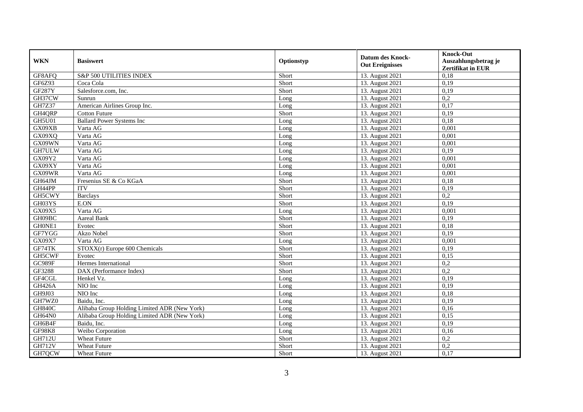| <b>WKN</b>    | <b>Basiswert</b>                             | Optionstyp | <b>Datum des Knock-</b><br><b>Out Ereignisses</b> | <b>Knock-Out</b><br>Auszahlungsbetrag je<br><b>Zertifikat in EUR</b> |
|---------------|----------------------------------------------|------------|---------------------------------------------------|----------------------------------------------------------------------|
| GF8AFQ        | S&P 500 UTILITIES INDEX                      | Short      | 13. August 2021                                   | 0,18                                                                 |
| GF6Z93        | Coca Cola                                    | Short      | 13. August 2021                                   | 0,19                                                                 |
| <b>GF287Y</b> | Salesforce.com, Inc.                         | Short      | 13. August 2021                                   | 0,19                                                                 |
| GH37CW        | Sunrun                                       | Long       | 13. August 2021                                   | 0,2                                                                  |
| GH7Z37        | American Airlines Group Inc.                 | Long       | 13. August 2021                                   | 0,17                                                                 |
| GH4QRP        | <b>Cotton Future</b>                         | Short      | 13. August 2021                                   | 0,19                                                                 |
| <b>GH5U01</b> | <b>Ballard Power Systems Inc</b>             | Long       | 13. August 2021                                   | 0,18                                                                 |
| GX09XB        | Varta AG                                     | Long       | 13. August 2021                                   | 0,001                                                                |
| GX09XQ        | Varta AG                                     | Long       | 13. August 2021                                   | 0,001                                                                |
| GX09WN        | Varta AG                                     | Long       | 13. August 2021                                   | 0,001                                                                |
| GH7ULW        | Varta AG                                     | Long       | 13. August 2021                                   | 0,19                                                                 |
| GX09Y2        | Varta AG                                     | Long       | 13. August 2021                                   | 0,001                                                                |
| GX09XY        | Varta AG                                     | Long       | 13. August 2021                                   | 0,001                                                                |
| GX09WR        | Varta AG                                     | Long       | 13. August 2021                                   | 0.001                                                                |
| GH64JM        | Fresenius SE & Co KGaA                       | Short      | 13. August 2021                                   | 0,18                                                                 |
| GH44PP        | <b>ITV</b>                                   | Short      | 13. August 2021                                   | 0,19                                                                 |
| GH5CWY        | <b>Barclays</b>                              | Short      | 13. August 2021                                   | 0,2                                                                  |
| GH03YS        | E.ON                                         | Short      | 13. August 2021                                   | 0,19                                                                 |
| GX09X5        | Varta AG                                     | Long       | 13. August 2021                                   | 0,001                                                                |
| GH09BC        | Aareal Bank                                  | Short      | 13. August 2021                                   | 0,19                                                                 |
| GH0NE1        | Evotec                                       | Short      | 13. August 2021                                   | 0,18                                                                 |
| GF7YGG        | Akzo Nobel                                   | Short      | 13. August 2021                                   | 0.19                                                                 |
| GX09X7        | Varta AG                                     | Long       | 13. August 2021                                   | 0,001                                                                |
| GF74TK        | $STOXX(r)$ Europe 600 Chemicals              | Short      | 13. August 2021                                   | 0,19                                                                 |
| GH5CWF        | Evotec                                       | Short      | 13. August 2021                                   | 0,15                                                                 |
| GC989F        | Hermes International                         | Short      | 13. August 2021                                   | 0,2                                                                  |
| GF3288        | DAX (Performance Index)                      | Short      | 13. August 2021                                   | 0,2                                                                  |
| GF4CGL        | Henkel Vz.                                   | Long       | 13. August 2021                                   | 0,19                                                                 |
| <b>GH426A</b> | $\overline{N}$ IO Inc                        | Long       | 13. August 2021                                   | 0,19                                                                 |
| GH9J03        | NIO Inc                                      | Long       | 13. August 2021                                   | 0,18                                                                 |
| GH7WZ0        | Baidu, Inc.                                  | Long       | 13. August 2021                                   | 0,19                                                                 |
| <b>GH840C</b> | Alibaba Group Holding Limited ADR (New York) | Long       | 13. August 2021                                   | 0,16                                                                 |
| GH64N0        | Alibaba Group Holding Limited ADR (New York) | Long       | 13. August 2021                                   | 0.15                                                                 |
| GH6B4F        | Baidu, Inc.                                  | Long       | 13. August 2021                                   | 0,19                                                                 |
| <b>GF98K8</b> | Weibo Corporation                            | Long       | 13. August 2021                                   | 0,16                                                                 |
| GH712U        | <b>Wheat Future</b>                          | Short      | 13. August 2021                                   | 0,2                                                                  |
| <b>GH712V</b> | <b>Wheat Future</b>                          | Short      | 13. August 2021                                   | 0,2                                                                  |
| GH7QCW        | <b>Wheat Future</b>                          | Short      | 13. August 2021                                   | 0,17                                                                 |